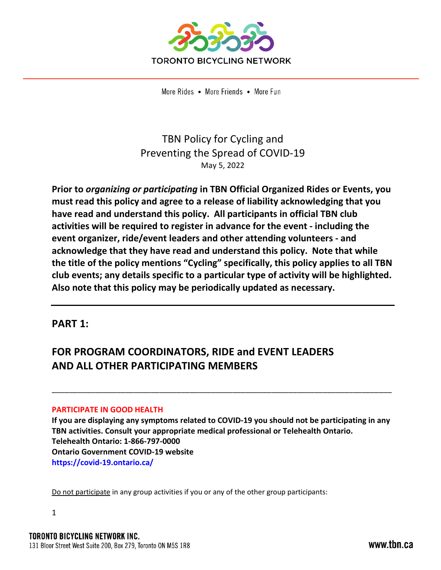

# TBN Policy for Cycling and Preventing the Spread of COVID-19 May 5, 2022

**Prior to** *organizing or participating* **in TBN Official Organized Rides or Events, you must read this policy and agree to a release of liability acknowledging that you have read and understand this policy. All participants in official TBN club activities will be required to register in advance for the event - including the event organizer, ride/event leaders and other attending volunteers - and acknowledge that they have read and understand this policy. Note that while the title of the policy mentions "Cycling" specifically, this policy applies to all TBN club events; any details specific to a particular type of activity will be highlighted. Also note that this policy may be periodically updated as necessary.** 

# **PART 1:**

# **FOR PROGRAM COORDINATORS, RIDE and EVENT LEADERS AND ALL OTHER PARTICIPATING MEMBERS**

# **PARTICIPATE IN GOOD HEALTH**

**If you are displaying any symptoms related to COVID-19 you should not be participating in any TBN activities. Consult your appropriate medical professional or Telehealth Ontario. Telehealth Ontario: 1-866-797-0000 Ontario Government COVID-19 website https://covid-19.ontario.ca/** 

\_\_\_\_\_\_\_\_\_\_\_\_\_\_\_\_\_\_\_\_\_\_\_\_\_\_\_\_\_\_\_\_\_\_\_\_\_\_\_\_\_\_\_\_\_\_\_\_\_\_\_\_\_\_\_\_\_\_\_\_\_\_\_\_\_\_\_\_\_\_\_\_\_\_\_\_\_\_\_

Do not participate in any group activities if you or any of the other group participants: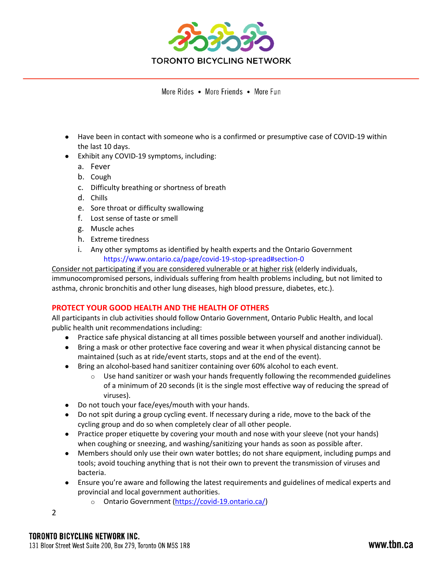

- Have been in contact with someone who is a confirmed or presumptive case of COVID-19 within the last 10 days.
- Exhibit any COVID-19 symptoms, including:
	- a. Fever
	- b. Cough
	- c. Difficulty breathing or shortness of breath
	- d. Chills
	- e. Sore throat or difficulty swallowing
	- f. Lost sense of taste or smell
	- g. Muscle aches
	- h. Extreme tiredness
	- i. Any other symptoms as identified by health experts and the Ontario Government https://www.ontario.ca/page/covid-19-stop-spread#section-0

Consider not participating if you are considered vulnerable or at higher risk (elderly individuals, immunocompromised persons, individuals suffering from health problems including, but not limited to asthma, chronic bronchitis and other lung diseases, high blood pressure, diabetes, etc.).

# **PROTECT YOUR GOOD HEALTH AND THE HEALTH OF OTHERS**

All participants in club activities should follow Ontario Government, Ontario Public Health, and local public health unit recommendations including:

- Practice safe physical distancing at all times possible between yourself and another individual).
- Bring a mask or other protective face covering and wear it when physical distancing cannot be maintained (such as at ride/event starts, stops and at the end of the event).
- Bring an alcohol-based hand sanitizer containing over 60% alcohol to each event.
	- $\circ$  Use hand sanitizer or wash your hands frequently following the recommended guidelines of a minimum of 20 seconds (it is the single most effective way of reducing the spread of viruses).
- Do not touch your face/eyes/mouth with your hands.
- Do not spit during a group cycling event. If necessary during a ride, move to the back of the cycling group and do so when completely clear of all other people.
- Practice proper etiquette by covering your mouth and nose with your sleeve (not your hands) when coughing or sneezing, and washing/sanitizing your hands as soon as possible after.
- Members should only use their own water bottles; do not share equipment, including pumps and tools; avoid touching anything that is not their own to prevent the transmission of viruses and bacteria.
- Ensure you're aware and following the latest requirements and guidelines of medical experts and provincial and local government authorities.
	- o Ontario Government (https://covid-19.ontario.ca/)
- 2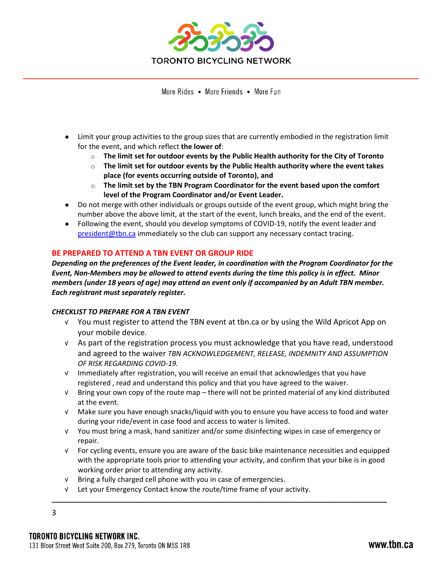

- Limit your group activities to the group sizes that are currently embodied in the registration limit for the event, and which reflect **the lower of**:
	- o **The limit set for outdoor events by the Public Health authority for the City of Toronto**
	- o **The limit set for outdoor events by the Public Health authority where the event takes place (for events occurring outside of Toronto), and**
	- o **The limit set by the TBN Program Coordinator for the event based upon the comfort level of the Program Coordinator and/or Event Leader.**
- Do not merge with other individuals or groups outside of the event group, which might bring the number above the above limit, at the start of the event, lunch breaks, and the end of the event.
- Following the event, should you develop symptoms of COVID-19, notify the event leader and president@tbn.ca immediately so the club can support any necessary contact tracing.

# **BE PREPARED TO ATTEND A TBN EVENT OR GROUP RIDE**

*Depending on the preferences of the Event leader, in coordination with the Program Coordinator for the Event, Non-Members may be allowed to attend events during the time this policy is in effect. Minor members (under 18 years of age) may attend an event only if accompanied by an Adult TBN member. Each registrant must separately register.* 

#### *CHECKLIST TO PREPARE FOR A TBN EVENT*

- √ You must register to attend the TBN event at tbn.ca or by using the Wild Apricot App on your mobile device.
- √ As part of the registration process you must acknowledge that you have read, understood and agreed to the waiver *TBN ACKNOWLEDGEMENT, RELEASE, INDEMNITY AND ASSUMPTION OF RISK REGARDING COVID-19.*
- √ Immediately after registration, you will receive an email that acknowledges that you have registered , read and understand this policy and that you have agreed to the waiver.
- √ Bring your own copy of the route map there will not be printed material of any kind distributed at the event.
- √ Make sure you have enough snacks/liquid with you to ensure you have access to food and water during your ride/event in case food and access to water is limited.
- √ You must bring a mask, hand sanitizer and/or some disinfecting wipes in case of emergency or repair.
- √ For cycling events, ensure you are aware of the basic bike maintenance necessities and equipped with the appropriate tools prior to attending your activity, and confirm that your bike is in good working order prior to attending any activity.

**\_\_\_\_\_\_\_\_\_\_\_\_\_\_\_\_\_\_\_\_\_\_\_\_\_\_\_\_\_\_\_\_\_\_\_\_\_\_\_\_\_\_\_\_\_\_\_\_\_\_\_\_\_\_\_\_\_\_\_\_\_\_\_\_\_\_\_\_\_\_\_\_\_\_\_\_\_\_\_\_\_\_\_\_\_**

- √ Bring a fully charged cell phone with you in case of emergencies.
- √ Let your Emergency Contact know the route/time frame of your activity.

3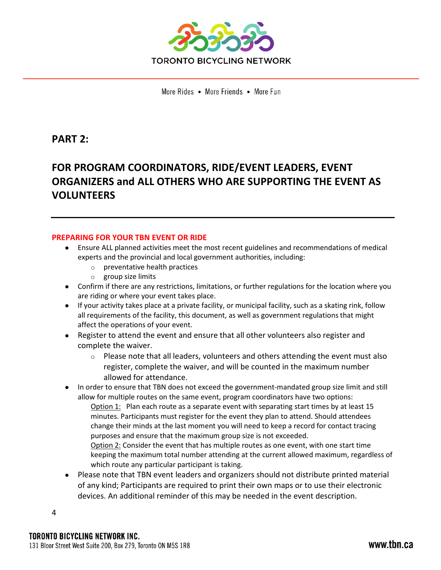

# **PART 2:**

# **FOR PROGRAM COORDINATORS, RIDE/EVENT LEADERS, EVENT ORGANIZERS and ALL OTHERS WHO ARE SUPPORTING THE EVENT AS VOLUNTEERS**

#### **PREPARING FOR YOUR TBN EVENT OR RIDE**

- Ensure ALL planned activities meet the most recent guidelines and recommendations of medical experts and the provincial and local government authorities, including:
	- o preventative health practices
	- o group size limits
- Confirm if there are any restrictions, limitations, or further regulations for the location where you are riding or where your event takes place.
- If your activity takes place at a private facility, or municipal facility, such as a skating rink, follow all requirements of the facility, this document, as well as government regulations that might affect the operations of your event.
- Register to attend the event and ensure that all other volunteers also register and complete the waiver.
	- o Please note that all leaders, volunteers and others attending the event must also register, complete the waiver, and will be counted in the maximum number allowed for attendance.
- In order to ensure that TBN does not exceed the government-mandated group size limit and still allow for multiple routes on the same event, program coordinators have two options: Option  $1:$  Plan each route as a separate event with separating start times by at least 15 minutes. Participants must register for the event they plan to attend. Should attendees change their minds at the last moment you will need to keep a record for contact tracing
	- purposes and ensure that the maximum group size is not exceeded.
	- Option 2: Consider the event that has multiple routes as one event, with one start time keeping the maximum total number attending at the current allowed maximum, regardless of which route any particular participant is taking.
- Please note that TBN event leaders and organizers should not distribute printed material of any kind; Participants are required to print their own maps or to use their electronic devices. An additional reminder of this may be needed in the event description.

4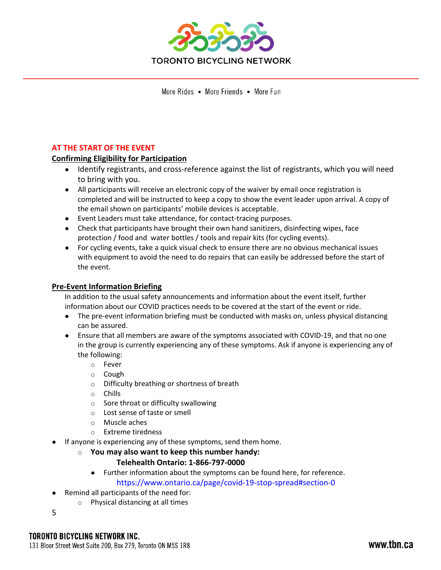

# **AT THE START OF THE EVENT**

# **Confirming Eligibility for Participation**

- Identify registrants, and cross-reference against the list of registrants, which you will need to bring with you.
- All participants will receive an electronic copy of the waiver by email once registration is completed and will be instructed to keep a copy to show the event leader upon arrival. A copy of the email shown on participants' mobile devices is acceptable.
- Event Leaders must take attendance, for contact-tracing purposes.
- Check that participants have brought their own hand sanitizers, disinfecting wipes, face protection / food and water bottles / tools and repair kits (for cycling events).
- For cycling events, take a quick visual check to ensure there are no obvious mechanical issues with equipment to avoid the need to do repairs that can easily be addressed before the start of the event.

# **Pre-Event Information Briefing**

In addition to the usual safety announcements and information about the event itself, further information about our COVID practices needs to be covered at the start of the event or ride.

- The pre-event information briefing must be conducted with masks on, unless physical distancing can be assured.
- Ensure that all members are aware of the symptoms associated with COVID-19, and that no one in the group is currently experiencing any of these symptoms. Ask if anyone is experiencing any of the following:
	- o Fever
	- o Cough
	- o Difficulty breathing or shortness of breath
	- o Chills
	- o Sore throat or difficulty swallowing
	- o Lost sense of taste or smell
	- o Muscle aches
	- o Extreme tiredness
- If anyone is experiencing any of these symptoms, send them home.
	- o **You may also want to keep this number handy:**

# **Telehealth Ontario: 1-866-797-0000**

- Further information about the symptoms can be found here, for reference.
	- https://www.ontario.ca/page/covid-19-stop-spread#section-0
- Remind all participants of the need for:
	- o Physical distancing at all times
- 5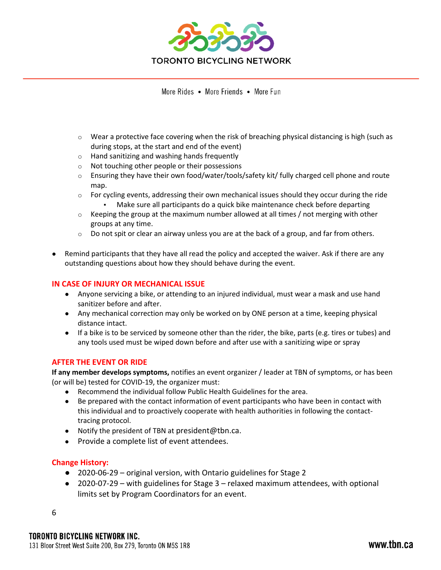

- $\circ$  Wear a protective face covering when the risk of breaching physical distancing is high (such as during stops, at the start and end of the event)
- o Hand sanitizing and washing hands frequently
- o Not touching other people or their possessions
- o Ensuring they have their own food/water/tools/safety kit/ fully charged cell phone and route map.
- $\circ$  For cycling events, addressing their own mechanical issues should they occur during the ride
	- Make sure all participants do a quick bike maintenance check before departing
- $\circ$  Keeping the group at the maximum number allowed at all times / not merging with other groups at any time.
- $\circ$  Do not spit or clear an airway unless you are at the back of a group, and far from others.
- Remind participants that they have all read the policy and accepted the waiver. Ask if there are any outstanding questions about how they should behave during the event.

#### **IN CASE OF INJURY OR MECHANICAL ISSUE**

- Anyone servicing a bike, or attending to an injured individual, must wear a mask and use hand sanitizer before and after.
- Any mechanical correction may only be worked on by ONE person at a time, keeping physical distance intact.
- If a bike is to be serviced by someone other than the rider, the bike, parts (e.g. tires or tubes) and any tools used must be wiped down before and after use with a sanitizing wipe or spray

# **AFTER THE EVENT OR RIDE**

**If any member develops symptoms,** notifies an event organizer / leader at TBN of symptoms, or has been (or will be) tested for COVID-19, the organizer must:

- Recommend the individual follow Public Health Guidelines for the area.
- Be prepared with the contact information of event participants who have been in contact with this individual and to proactively cooperate with health authorities in following the contacttracing protocol.
- Notify the president of TBN at president@tbn.ca.
- Provide a complete list of event attendees.

# **Change History:**

- 2020-06-29 original version, with Ontario guidelines for Stage 2
- 2020-07-29 with guidelines for Stage 3 relaxed maximum attendees, with optional limits set by Program Coordinators for an event.

6